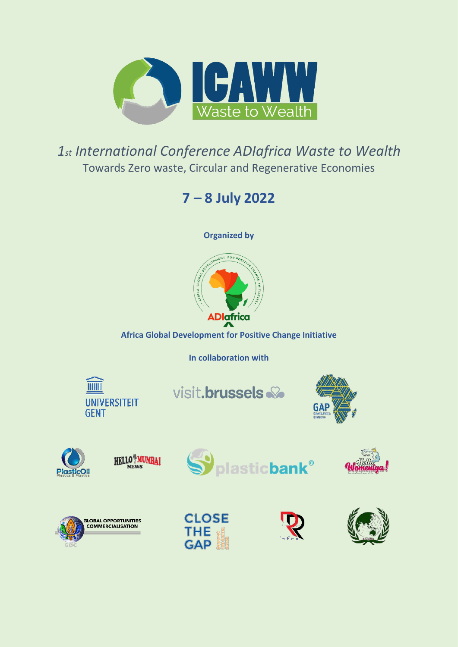

# *1st International Conference ADIafrica Waste to Wealth* Towards Zero waste, Circular and Regenerative Economies

# **7 – 8 July 2022**

**Organized by**



**Africa Global Development for Positive Change Initiative**

**In collaboration with**



visit.brussels





HELLO MUMBAI











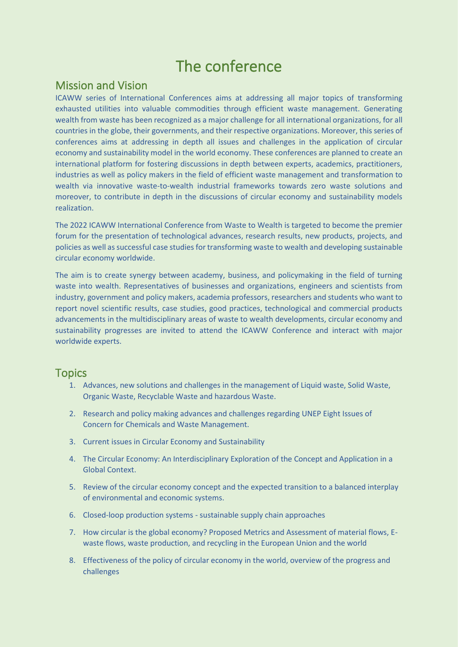# The conference

# Mission and Vision

ICAWW series of International Conferences aims at addressing all major topics of transforming exhausted utilities into valuable commodities through efficient waste management. Generating wealth from waste has been recognized as a major challenge for all international organizations, for all countries in the globe, their governments, and their respective organizations. Moreover, this series of conferences aims at addressing in depth all issues and challenges in the application of circular economy and sustainability model in the world economy. These conferences are planned to create an international platform for fostering discussions in depth between experts, academics, practitioners, industries as well as policy makers in the field of efficient waste management and transformation to wealth via innovative waste-to-wealth industrial frameworks towards zero waste solutions and moreover, to contribute in depth in the discussions of circular economy and sustainability models realization.

The 2022 ICAWW International Conference from Waste to Wealth is targeted to become the premier forum for the presentation of technological advances, research results, new products, projects, and policies as well as successful case studies for transforming waste to wealth and developing sustainable circular economy worldwide.

The aim is to create synergy between academy, business, and policymaking in the field of turning waste into wealth. Representatives of businesses and organizations, engineers and scientists from industry, government and policy makers, academia professors, researchers and students who want to report novel scientific results, case studies, good practices, technological and commercial products advancements in the multidisciplinary areas of waste to wealth developments, circular economy and sustainability progresses are invited to attend the ICAWW Conference and interact with major worldwide experts.

## **Topics**

- 1. Advances, new solutions and challenges in the management of Liquid waste, Solid Waste, Organic Waste, Recyclable Waste and hazardous Waste.
- 2. Research and policy making advances and challenges regarding UNEP Eight Issues of Concern for Chemicals and Waste Management.
- 3. Current issues in Circular Economy and Sustainability
- 4. The Circular Economy: An Interdisciplinary Exploration of the Concept and Application in a Global Context.
- 5. Review of the circular economy concept and the expected transition to a balanced interplay of environmental and economic systems.
- 6. Closed-loop production systems sustainable supply chain approaches
- 7. How circular is the global economy? Proposed Metrics and Assessment of material flows, Ewaste flows, waste production, and recycling in the European Union and the world
- 8. Effectiveness of the policy of circular economy in the world, overview of the progress and challenges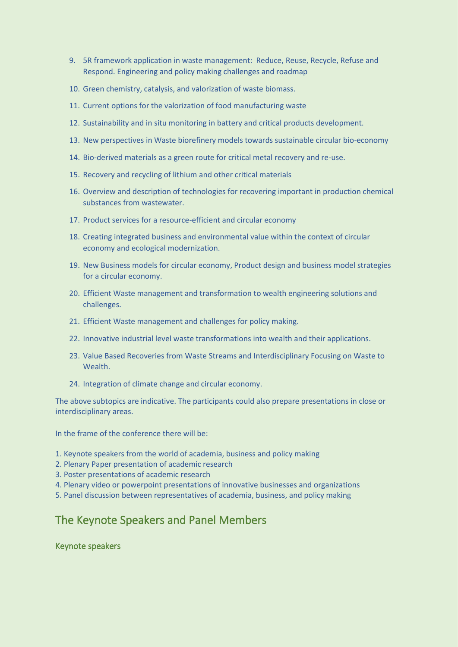- 9. 5R framework application in waste management: Reduce, Reuse, Recycle, Refuse and Respond. Engineering and policy making challenges and roadmap
- 10. Green chemistry, catalysis, and valorization of waste biomass.
- 11. Current options for the valorization of food manufacturing waste
- 12. Sustainability and in situ monitoring in battery and critical products development.
- 13. New perspectives in Waste biorefinery models towards sustainable circular bio-economy
- 14. Bio-derived materials as a green route for critical metal recovery and re-use.
- 15. Recovery and recycling of lithium and other critical materials
- 16. Overview and description of technologies for recovering important in production chemical substances from wastewater.
- 17. Product services for a resource-efficient and circular economy
- 18. Creating integrated business and environmental value within the context of circular economy and ecological modernization.
- 19. New Business models for circular economy, Product design and business model strategies for a circular economy.
- 20. Efficient Waste management and transformation to wealth engineering solutions and challenges.
- 21. Efficient Waste management and challenges for policy making.
- 22. Innovative industrial level waste transformations into wealth and their applications.
- 23. Value Based Recoveries from Waste Streams and Interdisciplinary Focusing on Waste to Wealth.
- 24. Integration of climate change and circular economy.

The above subtopics are indicative. The participants could also prepare presentations in close or interdisciplinary areas.

In the frame of the conference there will be:

- 1. Keynote speakers from the world of academia, business and policy making
- 2. Plenary Paper presentation of academic research
- 3. Poster presentations of academic research
- 4. Plenary video or powerpoint presentations of innovative businesses and organizations
- 5. Panel discussion between representatives of academia, business, and policy making

# The Keynote Speakers and Panel Members

Keynote speakers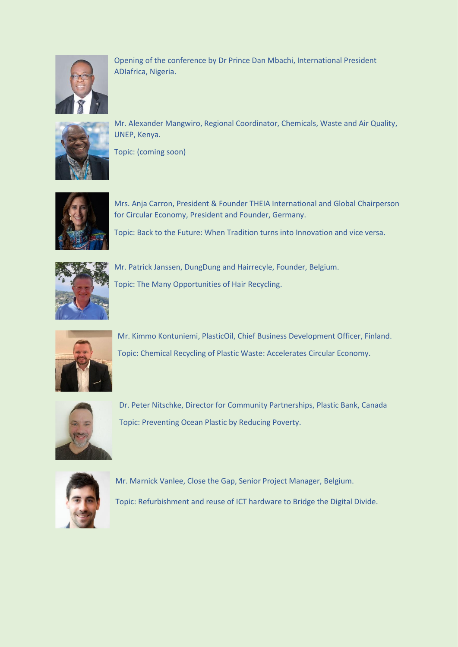

Opening of the conference by Dr Prince Dan Mbachi, International President ADIafrica, Nigeria.



Mr. Alexander Mangwiro, Regional Coordinator, Chemicals, Waste and Air Quality, UNEP, Kenya.

Topic: (coming soon)



Mrs. Anja Carron, President & Founder THEIA International and Global Chairperson for Circular Economy, President and Founder, Germany.

Topic: Back to the Future: When Tradition turns into Innovation and vice versa.



Mr. Patrick Janssen, DungDung and Hairrecyle, Founder, Belgium.

Topic: The Many Opportunities of Hair Recycling.



Mr. Kimmo Kontuniemi, PlasticOil, Chief Business Development Officer, Finland. Topic: Chemical Recycling of Plastic Waste: Accelerates Circular Economy.



Dr. Peter Nitschke, Director for Community Partnerships, Plastic Bank, Canada Topic: Preventing Ocean Plastic by Reducing Poverty.



Mr. Marnick Vanlee, Close the Gap, Senior Project Manager, Belgium.

Topic: Refurbishment and reuse of ICT hardware to Bridge the Digital Divide.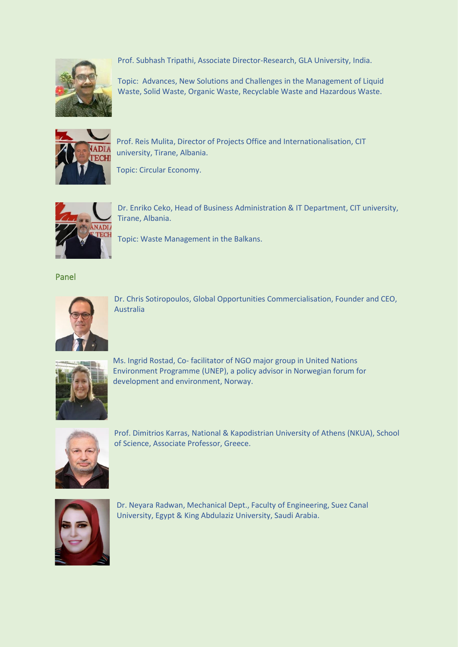

Prof. Subhash Tripathi, Associate Director-Research, GLA University, India.

Topic: Advances, New Solutions and Challenges in the Management of Liquid Waste, Solid Waste, Organic Waste, Recyclable Waste and Hazardous Waste.



Prof. Reis Mulita, Director of Projects Office and Internationalisation, CIT university, Tirane, Albania.

Topic: Circular Economy.



Dr. Enriko Ceko, Head of Business Administration & IT Department, CIT university, Tirane, Albania.

Topic: Waste Management in the Balkans.

Panel



Dr. Chris Sotiropoulos, Global Opportunities Commercialisation, Founder and CEO, Australia



Ms. Ingrid Rostad, Co- facilitator of NGO major group in United Nations Environment Programme (UNEP), a policy advisor in Norwegian forum for development and environment, Norway.



Prof. Dimitrios Karras, National & Kapodistrian University of Athens (NKUA), School of Science, Associate Professor, Greece.



Dr. Neyara Radwan, Mechanical Dept., Faculty of Engineering, Suez Canal University, Egypt & King Abdulaziz University, Saudi Arabia.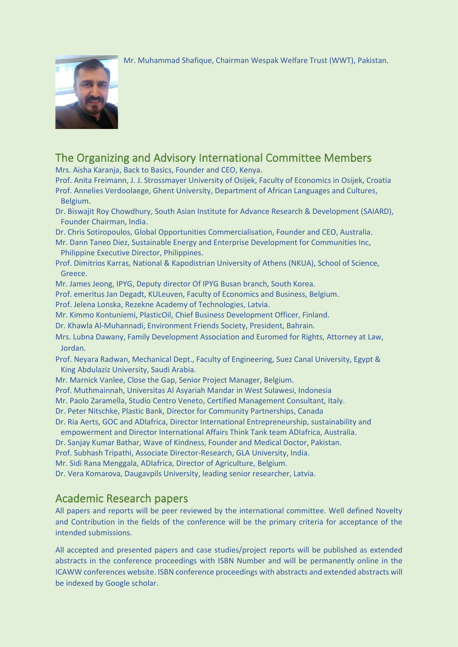Mr. Muhammad Shafique, Chairman Wespak Welfare Trust (WWT), Pakistan.



# The Organizing and Advisory International Committee Members

Mrs. Aisha Karanja, Back to Basics, Founder and CEO, Kenya.

- Prof. Anita Freimann, J. J. Strossmayer University of Osijek, Faculty of Economics in Osijek, Croatia Prof. Annelies Verdoolaege, Ghent University, Department of African Languages and Cultures, Belgium.
- Dr. Biswajit Roy Chowdhury, South Asian Institute for Advance Research & Development (SAIARD), Founder Chairman, India.
- Dr. Chris Sotiropoulos, Global Opportunities Commercialisation, Founder and CEO, Australia.
- Mr. Dann Taneo Diez, Sustainable Energy and Enterprise Development for Communities Inc, Philippine Executive Director, Philippines.
- Prof. Dimitrios Karras, National & Kapodistrian University of Athens (NKUA), School of Science, Greece.
- Mr. James Jeong, IPYG, Deputy director Of IPYG Busan branch, South Korea.
- Prof. emeritus Jan Degadt, KULeuven, Faculty of Economics and Business, Belgium.
- Prof. Jelena Lonska, Rezekne Academy of Technologies, Latvia.
- Mr. Kimmo Kontuniemi, PlasticOil, Chief Business Development Officer, Finland.
- Dr. Khawla Al-Muhannadi, Environment Friends Society, President, Bahrain.
- Mrs. Lubna Dawany, Family Development Association and Euromed for Rights, Attorney at Law, Jordan.
- Prof. Neyara Radwan, Mechanical Dept., Faculty of Engineering, Suez Canal University, Egypt & King Abdulaziz University, Saudi Arabia.
- Mr. Marnick Vanlee, Close the Gap, Senior Project Manager, Belgium.
- Prof. Muthmainnah, Universitas Al Asyariah Mandar in West Sulawesi, Indonesia
- Mr. Paolo Zaramella, Studio Centro Veneto, Certified Management Consultant, Italy.
- Dr. Peter Nitschke, Plastic Bank, Director for Community Partnerships, Canada
- Dr. Ria Aerts, GOC and ADIafrica, Director International Entrepreneurship, sustainability and
- empowerment and Director International Affairs Think Tank team ADIafrica, Australia.
- Dr. Sanjay Kumar Bathar, Wave of Kindness, Founder and Medical Doctor, Pakistan.
- Prof. Subhash Tripathi, Associate Director-Research, GLA University, India.
- Mr. Sidi Rana Menggala, ADIafrica, Director of Agriculture, Belgium.
- Dr. Vera Komarova, Daugavpils University, leading senior researcher, Latvia.

### Academic Research papers

All papers and reports will be peer reviewed by the international committee. Well defined Novelty and Contribution in the fields of the conference will be the primary criteria for acceptance of the intended submissions.

All accepted and presented papers and case studies/project reports will be published as extended abstracts in the conference proceedings with ISBN Number and will be permanently online in the ICAWW conferences website. ISBN conference proceedings with abstracts and extended abstracts will be indexed by Google scholar.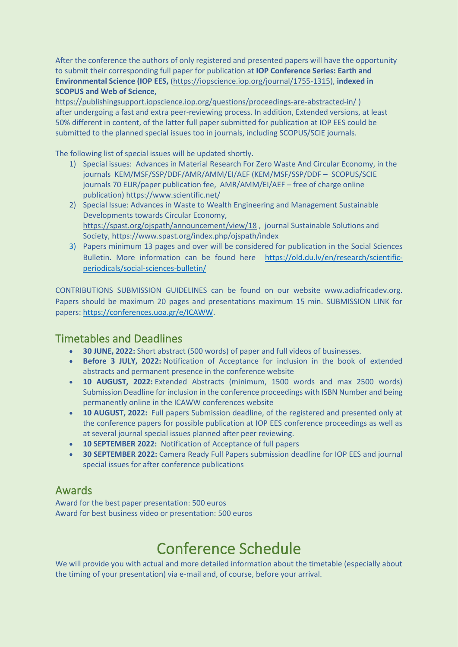After the conference the authors of only registered and presented papers will have the opportunity to submit their corresponding full paper for publication at **IOP Conference Series: Earth and Environmental Science (IOP EES,** [\(https://iopscience.iop.org/journal/1755-1315\)](https://iopscience.iop.org/journal/1755-1315), **indexed in SCOPUS and Web of Science,** 

<https://publishingsupport.iopscience.iop.org/questions/proceedings-are-abstracted-in/> ) after undergoing a fast and extra peer-reviewing process. In addition, Extended versions, at least 50% different in content, of the latter full paper submitted for publication at IOP EES could be submitted to the planned special issues too in journals, including SCOPUS/SCIE journals.

The following list of special issues will be updated shortly.

- 1) Special issues: Advances in Material Research For Zero Waste And Circular Economy, in the journals KEM/MSF/SSP/DDF/AMR/AMM/EI/AEF (KEM/MSF/SSP/DDF – SCOPUS/SCIE journals 70 EUR/paper publication fee, AMR/AMM/EI/AEF – free of charge online publication) https://www.scientific.net/
- 2) Special Issue: Advances in Waste to Wealth Engineering and Management Sustainable Developments towards Circular Economy, <https://spast.org/ojspath/announcement/view/18> , journal Sustainable Solutions and Society[, https://www.spast.org/index.php/ojspath/index](https://www.spast.org/index.php/ojspath/index)
- 3) Papers minimum 13 pages and over will be considered for publication in the Social Sciences Bulletin. More information can be found here [https://old.du.lv/en/research/scientific](https://old.du.lv/en/research/scientific-periodicals/social-sciences-bulletin/)[periodicals/social-sciences-bulletin/](https://old.du.lv/en/research/scientific-periodicals/social-sciences-bulletin/)

CONTRIBUTIONS SUBMISSION GUIDELINES can be found on our website www.adiafricadev.org. Papers should be maximum 20 pages and presentations maximum 15 min. SUBMISSION LINK for papers: [https://conferences.uoa.gr/e/ICAWW.](https://conferences.uoa.gr/e/ICAWW)

## Timetables and Deadlines

- **30 JUNE, 2022:** Short abstract (500 words) of paper and full videos of businesses.
- **Before 3 JULY, 2022:** Notification of Acceptance for inclusion in the book of extended abstracts and permanent presence in the conference website
- **10 AUGUST, 2022:** Extended Abstracts (minimum, 1500 words and max 2500 words) Submission Deadline for inclusion in the conference proceedings with ISBN Number and being permanently online in the ICAWW conferences website
- **10 AUGUST, 2022:** Full papers Submission deadline, of the registered and presented only at the conference papers for possible publication at IOP EES conference proceedings as well as at several journal special issues planned after peer reviewing.
- **10 SEPTEMBER 2022:** Notification of Acceptance of full papers
- **30 SEPTEMBER 2022:** Camera Ready Full Papers submission deadline for IOP EES and journal special issues for after conference publications

# Awards

Award for the best paper presentation: 500 euros Award for best business video or presentation: 500 euros

# Conference Schedule

We will provide you with actual and more detailed information about the timetable (especially about the timing of your presentation) via e-mail and, of course, before your arrival.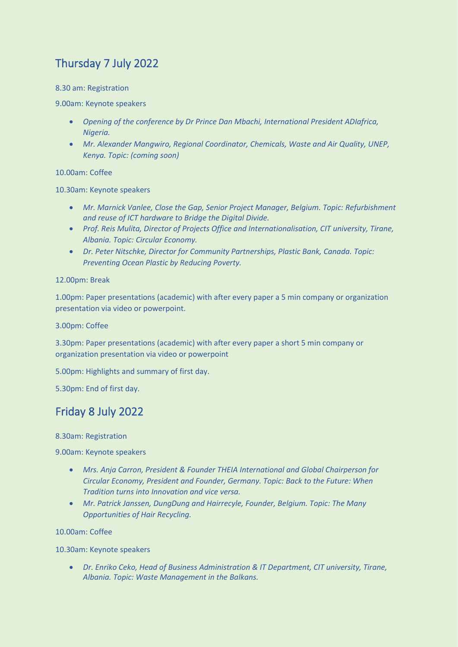# Thursday 7 July 2022

#### 8.30 am: Registration

#### 9.00am: Keynote speakers

- *Opening of the conference by Dr Prince Dan Mbachi, International President ADIafrica, Nigeria.*
- *Mr. Alexander Mangwiro, Regional Coordinator, Chemicals, Waste and Air Quality, UNEP, Kenya. Topic: (coming soon)*

#### 10.00am: Coffee

10.30am: Keynote speakers

- *Mr. Marnick Vanlee, Close the Gap, Senior Project Manager, Belgium. Topic: Refurbishment and reuse of ICT hardware to Bridge the Digital Divide.*
- *Prof. Reis Mulita, Director of Projects Office and Internationalisation, CIT university, Tirane, Albania. Topic: Circular Economy.*
- *Dr. Peter Nitschke, Director for Community Partnerships, Plastic Bank, Canada. Topic: Preventing Ocean Plastic by Reducing Poverty.*

#### 12.00pm: Break

1.00pm: Paper presentations (academic) with after every paper a 5 min company or organization presentation via video or powerpoint.

3.00pm: Coffee

3.30pm: Paper presentations (academic) with after every paper a short 5 min company or organization presentation via video or powerpoint

5.00pm: Highlights and summary of first day.

5.30pm: End of first day.

# Friday 8 July 2022

8.30am: Registration

9.00am: Keynote speakers

- *Mrs. Anja Carron, President & Founder THEIA International and Global Chairperson for Circular Economy, President and Founder, Germany. Topic: Back to the Future: When Tradition turns into Innovation and vice versa.*
- *Mr. Patrick Janssen, DungDung and Hairrecyle, Founder, Belgium. Topic: The Many Opportunities of Hair Recycling.*

10.00am: Coffee

10.30am: Keynote speakers

• *Dr. Enriko Ceko, Head of Business Administration & IT Department, CIT university, Tirane, Albania. Topic: Waste Management in the Balkans.*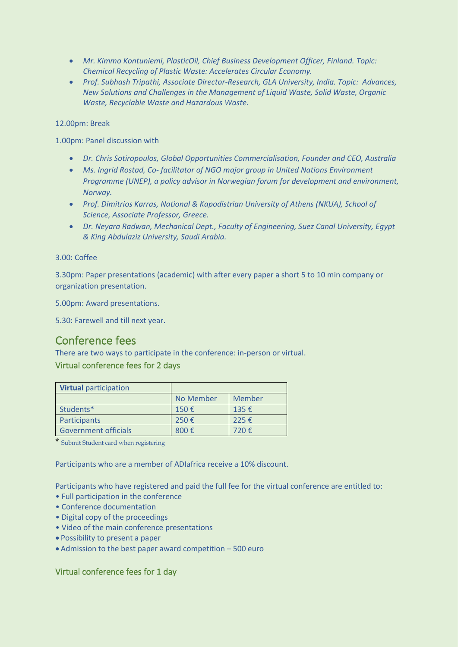- *Mr. Kimmo Kontuniemi, PlasticOil, Chief Business Development Officer, Finland. Topic: Chemical Recycling of Plastic Waste: Accelerates Circular Economy.*
- *Prof. Subhash Tripathi, Associate Director-Research, GLA University, India. Topic: Advances, New Solutions and Challenges in the Management of Liquid Waste, Solid Waste, Organic Waste, Recyclable Waste and Hazardous Waste.*

12.00pm: Break

1.00pm: Panel discussion with

- *Dr. Chris Sotiropoulos, Global Opportunities Commercialisation, Founder and CEO, Australia*
- *Ms. Ingrid Rostad, Co- facilitator of NGO major group in United Nations Environment Programme (UNEP), a policy advisor in Norwegian forum for development and environment, Norway.*
- *Prof. Dimitrios Karras, National & Kapodistrian University of Athens (NKUA), School of Science, Associate Professor, Greece.*
- *Dr. Neyara Radwan, Mechanical Dept., Faculty of Engineering, Suez Canal University, Egypt & King Abdulaziz University, Saudi Arabia.*

#### 3.00: Coffee

3.30pm: Paper presentations (academic) with after every paper a short 5 to 10 min company or organization presentation.

5.00pm: Award presentations.

5.30: Farewell and till next year.

## Conference fees

There are two ways to participate in the conference: in-person or virtual.

#### Virtual conference fees for 2 days

| <b>Virtual participation</b> |           |                    |
|------------------------------|-----------|--------------------|
|                              | No Member | Member             |
| Students*                    | 150€      | 135 $\epsilon$     |
| Participants                 | 250€      | $225 \text{ } \in$ |
| <b>Government officials</b>  | 800€      | 720 €              |

\* Submit Student card when registering

Participants who are a member of ADIafrica receive a 10% discount.

Participants who have registered and paid the full fee for the virtual conference are entitled to:

- Full participation in the conference
- Conference documentation
- Digital copy of the proceedings
- Video of the main conference presentations
- Possibility to present a paper
- Admission to the best paper award competition 500 euro

Virtual conference fees for 1 day